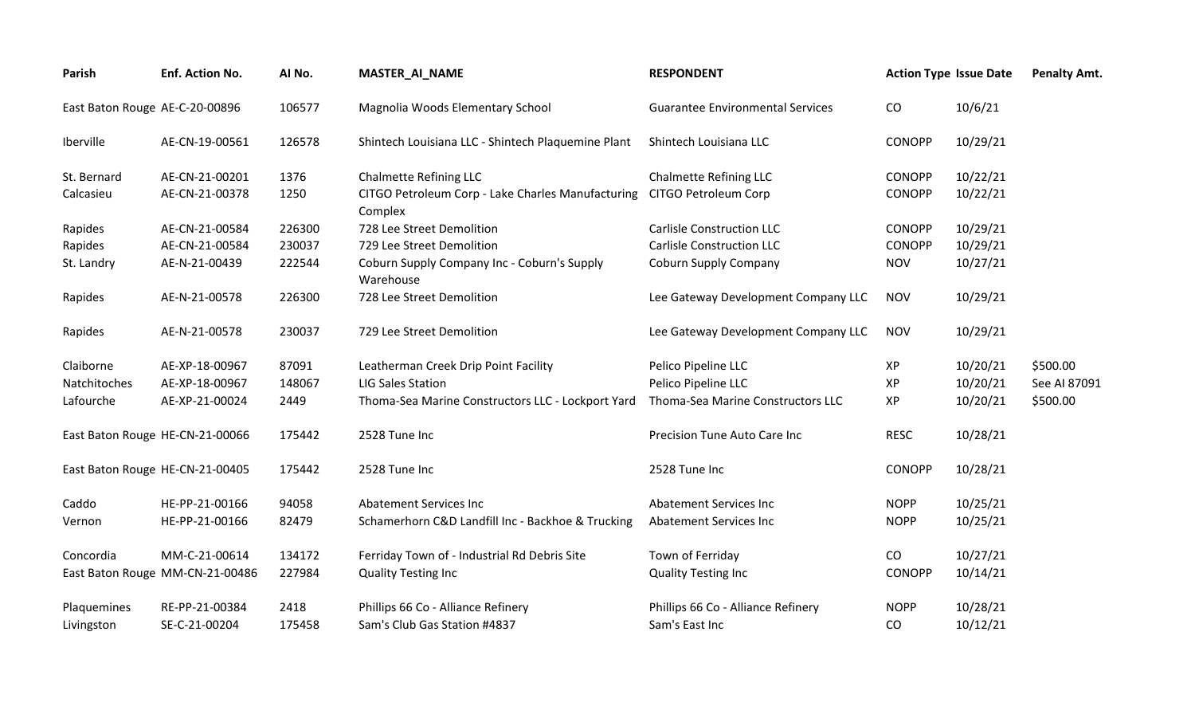| Parish                          | Enf. Action No.                 | AI No. | <b>MASTER_AI_NAME</b>                                        | <b>RESPONDENT</b>                       |               | <b>Action Type Issue Date</b> | <b>Penalty Amt.</b> |
|---------------------------------|---------------------------------|--------|--------------------------------------------------------------|-----------------------------------------|---------------|-------------------------------|---------------------|
| East Baton Rouge AE-C-20-00896  |                                 | 106577 | Magnolia Woods Elementary School                             | <b>Guarantee Environmental Services</b> | CO            | 10/6/21                       |                     |
| Iberville                       | AE-CN-19-00561                  | 126578 | Shintech Louisiana LLC - Shintech Plaquemine Plant           | Shintech Louisiana LLC                  | CONOPP        | 10/29/21                      |                     |
| St. Bernard                     | AE-CN-21-00201                  | 1376   | <b>Chalmette Refining LLC</b>                                | Chalmette Refining LLC                  | <b>CONOPP</b> | 10/22/21                      |                     |
| Calcasieu                       | AE-CN-21-00378                  | 1250   | CITGO Petroleum Corp - Lake Charles Manufacturing<br>Complex | CITGO Petroleum Corp                    | <b>CONOPP</b> | 10/22/21                      |                     |
| Rapides                         | AE-CN-21-00584                  | 226300 | 728 Lee Street Demolition                                    | <b>Carlisle Construction LLC</b>        | CONOPP        | 10/29/21                      |                     |
| Rapides                         | AE-CN-21-00584                  | 230037 | 729 Lee Street Demolition                                    | <b>Carlisle Construction LLC</b>        | CONOPP        | 10/29/21                      |                     |
| St. Landry                      | AE-N-21-00439                   | 222544 | Coburn Supply Company Inc - Coburn's Supply<br>Warehouse     | <b>Coburn Supply Company</b>            | <b>NOV</b>    | 10/27/21                      |                     |
| Rapides                         | AE-N-21-00578                   | 226300 | 728 Lee Street Demolition                                    | Lee Gateway Development Company LLC     | <b>NOV</b>    | 10/29/21                      |                     |
| Rapides                         | AE-N-21-00578                   | 230037 | 729 Lee Street Demolition                                    | Lee Gateway Development Company LLC     | <b>NOV</b>    | 10/29/21                      |                     |
| Claiborne                       | AE-XP-18-00967                  | 87091  | Leatherman Creek Drip Point Facility                         | Pelico Pipeline LLC                     | XP            | 10/20/21                      | \$500.00            |
| Natchitoches                    | AE-XP-18-00967                  | 148067 | <b>LIG Sales Station</b>                                     | Pelico Pipeline LLC                     | XP            | 10/20/21                      | See AI 87091        |
| Lafourche                       | AE-XP-21-00024                  | 2449   | Thoma-Sea Marine Constructors LLC - Lockport Yard            | Thoma-Sea Marine Constructors LLC       | XP            | 10/20/21                      | \$500.00            |
| East Baton Rouge HE-CN-21-00066 |                                 | 175442 | 2528 Tune Inc                                                | Precision Tune Auto Care Inc            | <b>RESC</b>   | 10/28/21                      |                     |
| East Baton Rouge HE-CN-21-00405 |                                 | 175442 | 2528 Tune Inc                                                | 2528 Tune Inc                           | CONOPP        | 10/28/21                      |                     |
| Caddo                           | HE-PP-21-00166                  | 94058  | <b>Abatement Services Inc</b>                                | <b>Abatement Services Inc.</b>          | <b>NOPP</b>   | 10/25/21                      |                     |
| Vernon                          | HE-PP-21-00166                  | 82479  | Schamerhorn C&D Landfill Inc - Backhoe & Trucking            | <b>Abatement Services Inc</b>           | <b>NOPP</b>   | 10/25/21                      |                     |
| Concordia                       | MM-C-21-00614                   | 134172 | Ferriday Town of - Industrial Rd Debris Site                 | Town of Ferriday                        | CO            | 10/27/21                      |                     |
|                                 | East Baton Rouge MM-CN-21-00486 | 227984 | <b>Quality Testing Inc</b>                                   | <b>Quality Testing Inc</b>              | <b>CONOPP</b> | 10/14/21                      |                     |
| Plaquemines                     | RE-PP-21-00384                  | 2418   | Phillips 66 Co - Alliance Refinery                           | Phillips 66 Co - Alliance Refinery      | <b>NOPP</b>   | 10/28/21                      |                     |
| Livingston                      | SE-C-21-00204                   | 175458 | Sam's Club Gas Station #4837                                 | Sam's East Inc                          | CO            | 10/12/21                      |                     |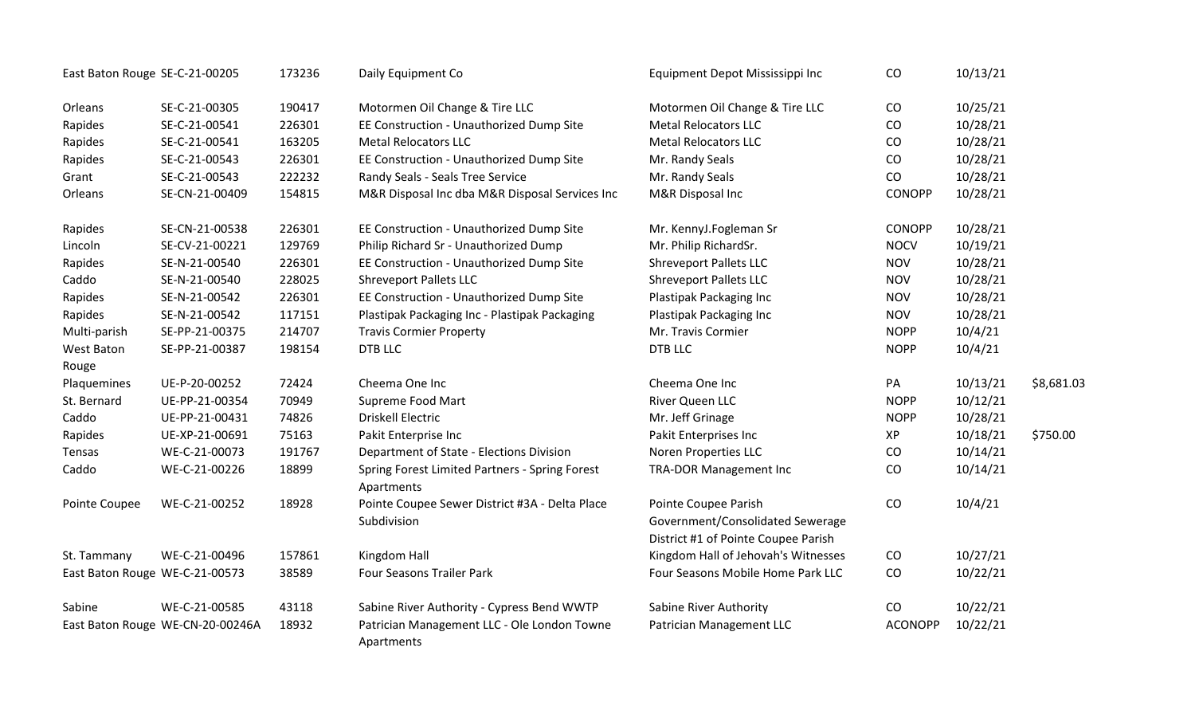| East Baton Rouge SE-C-21-00205 |                                  | 173236 | Daily Equipment Co                                            | Equipment Depot Mississippi Inc                                                                 | CO             | 10/13/21 |            |
|--------------------------------|----------------------------------|--------|---------------------------------------------------------------|-------------------------------------------------------------------------------------------------|----------------|----------|------------|
| Orleans                        | SE-C-21-00305                    | 190417 | Motormen Oil Change & Tire LLC                                | Motormen Oil Change & Tire LLC                                                                  | CO             | 10/25/21 |            |
| Rapides                        | SE-C-21-00541                    | 226301 | EE Construction - Unauthorized Dump Site                      | <b>Metal Relocators LLC</b>                                                                     | CO             | 10/28/21 |            |
| Rapides                        | SE-C-21-00541                    | 163205 | <b>Metal Relocators LLC</b>                                   | <b>Metal Relocators LLC</b>                                                                     | CO             | 10/28/21 |            |
| Rapides                        | SE-C-21-00543                    | 226301 | EE Construction - Unauthorized Dump Site                      | Mr. Randy Seals                                                                                 | CO             | 10/28/21 |            |
| Grant                          | SE-C-21-00543                    | 222232 | Randy Seals - Seals Tree Service                              | Mr. Randy Seals                                                                                 | CO             | 10/28/21 |            |
| Orleans                        | SE-CN-21-00409                   | 154815 | M&R Disposal Inc dba M&R Disposal Services Inc                | M&R Disposal Inc                                                                                | <b>CONOPP</b>  | 10/28/21 |            |
| Rapides                        | SE-CN-21-00538                   | 226301 | EE Construction - Unauthorized Dump Site                      | Mr. KennyJ.Fogleman Sr                                                                          | <b>CONOPP</b>  | 10/28/21 |            |
| Lincoln                        | SE-CV-21-00221                   | 129769 | Philip Richard Sr - Unauthorized Dump                         | Mr. Philip RichardSr.                                                                           | <b>NOCV</b>    | 10/19/21 |            |
| Rapides                        | SE-N-21-00540                    | 226301 | EE Construction - Unauthorized Dump Site                      | <b>Shreveport Pallets LLC</b>                                                                   | <b>NOV</b>     | 10/28/21 |            |
| Caddo                          | SE-N-21-00540                    | 228025 | <b>Shreveport Pallets LLC</b>                                 | <b>Shreveport Pallets LLC</b>                                                                   | <b>NOV</b>     | 10/28/21 |            |
| Rapides                        | SE-N-21-00542                    | 226301 | EE Construction - Unauthorized Dump Site                      | Plastipak Packaging Inc                                                                         | <b>NOV</b>     | 10/28/21 |            |
| Rapides                        | SE-N-21-00542                    | 117151 | Plastipak Packaging Inc - Plastipak Packaging                 | Plastipak Packaging Inc                                                                         | <b>NOV</b>     | 10/28/21 |            |
| Multi-parish                   | SE-PP-21-00375                   | 214707 | <b>Travis Cormier Property</b>                                | Mr. Travis Cormier                                                                              | <b>NOPP</b>    | 10/4/21  |            |
| West Baton                     | SE-PP-21-00387                   | 198154 | <b>DTB LLC</b>                                                | <b>DTB LLC</b>                                                                                  | <b>NOPP</b>    | 10/4/21  |            |
| Rouge                          |                                  |        |                                                               |                                                                                                 |                |          |            |
| Plaquemines                    | UE-P-20-00252                    | 72424  | Cheema One Inc                                                | Cheema One Inc                                                                                  | PA             | 10/13/21 | \$8,681.03 |
| St. Bernard                    | UE-PP-21-00354                   | 70949  | Supreme Food Mart                                             | River Queen LLC                                                                                 | <b>NOPP</b>    | 10/12/21 |            |
| Caddo                          | UE-PP-21-00431                   | 74826  | <b>Driskell Electric</b>                                      | Mr. Jeff Grinage                                                                                | <b>NOPP</b>    | 10/28/21 |            |
| Rapides                        | UE-XP-21-00691                   | 75163  | Pakit Enterprise Inc                                          | Pakit Enterprises Inc                                                                           | XP             | 10/18/21 | \$750.00   |
| Tensas                         | WE-C-21-00073                    | 191767 | Department of State - Elections Division                      | Noren Properties LLC                                                                            | CO             | 10/14/21 |            |
| Caddo                          | WE-C-21-00226                    | 18899  | Spring Forest Limited Partners - Spring Forest<br>Apartments  | <b>TRA-DOR Management Inc</b>                                                                   | CO             | 10/14/21 |            |
| Pointe Coupee                  | WE-C-21-00252                    | 18928  | Pointe Coupee Sewer District #3A - Delta Place<br>Subdivision | Pointe Coupee Parish<br>Government/Consolidated Sewerage<br>District #1 of Pointe Coupee Parish | CO             | 10/4/21  |            |
| St. Tammany                    | WE-C-21-00496                    | 157861 | Kingdom Hall                                                  | Kingdom Hall of Jehovah's Witnesses                                                             | CO             | 10/27/21 |            |
| East Baton Rouge WE-C-21-00573 |                                  | 38589  | <b>Four Seasons Trailer Park</b>                              | Four Seasons Mobile Home Park LLC                                                               | CO             | 10/22/21 |            |
| Sabine                         | WE-C-21-00585                    | 43118  | Sabine River Authority - Cypress Bend WWTP                    | Sabine River Authority                                                                          | CO             | 10/22/21 |            |
|                                | East Baton Rouge WE-CN-20-00246A | 18932  | Patrician Management LLC - Ole London Towne<br>Apartments     | Patrician Management LLC                                                                        | <b>ACONOPP</b> | 10/22/21 |            |